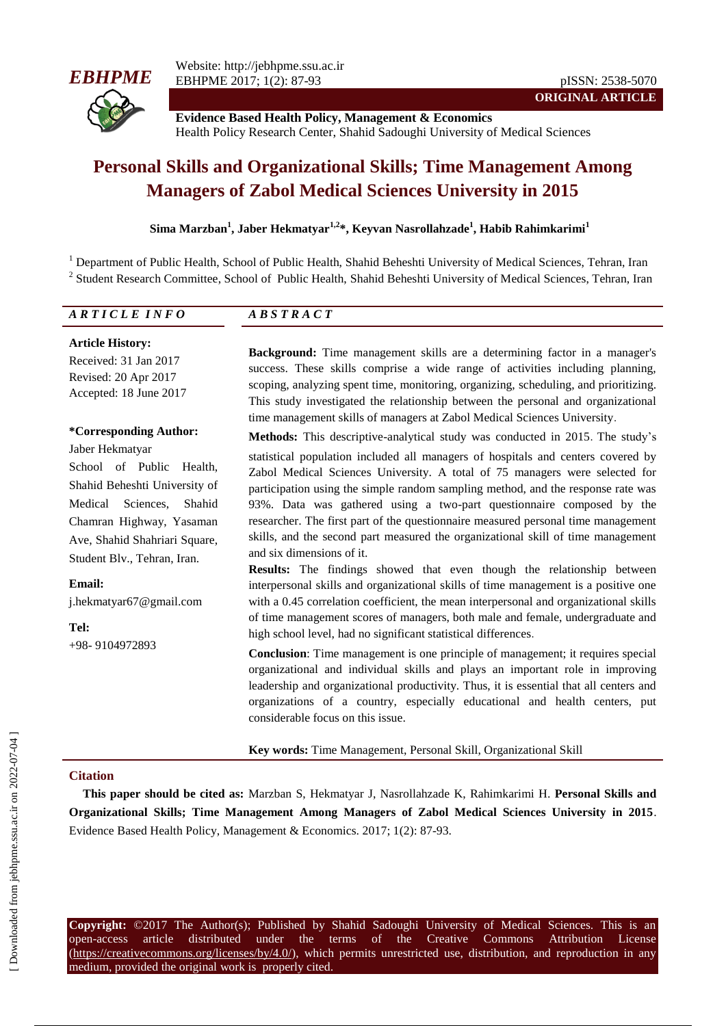

**Evidence Based Health Policy, Management & Economics** Health Policy Research Center, Shahid Sadoughi University of Medical Sciences

# **Personal Skills and Organizational Skills; Time Management Among Managers of Zabol Medical Sciences University in 2015**

### **Sima Marzban<sup>1</sup> , Jaber Hekmatyar1,2 \*, Keyvan Nasrollahzade<sup>1</sup> , Habib Rahimkarimi<sup>1</sup>**

<sup>1</sup> Department of Public Health, School of Public Health, Shahid Beheshti University of Medical Sciences, Tehran, Iran <sup>2</sup> Student Research Committee, School of Public Health, Shahid Beheshti University of Medical Sciences, Tehran, Iran

| ARTICLE INFO | $\boldsymbol{D} \boldsymbol{C} \boldsymbol{T} \boldsymbol{D} \boldsymbol{A} \boldsymbol{C} \boldsymbol{T}$ |
|--------------|------------------------------------------------------------------------------------------------------------|
|              |                                                                                                            |

**Article History:**

Received: 31 Jan 2017 Revised: 20 Apr 2017 Accepted: 18 June 2017

#### **\*Corresponding Author:**

Jaber Hekmatyar

School of Public Health, Shahid Beheshti University of Medical Sciences, Shahid Chamran Highway, Yasaman Ave, Shahid Shahriari Square, Student Blv., Tehran, Iran.

**Email:** j.hekmatyar67@gmail.com

**Tel:** +98- 9104972893 **Background:** Time management skills are a determining factor in a manager's success. These skills comprise a wide range of activities including planning, scoping, analyzing spent time, monitoring, organizing, scheduling, and prioritizing. This study investigated the relationship between the personal and organizational time management skills of managers at Zabol Medical Sciences University.

**Methods:** This descriptive-analytical study was conducted in 2015. The study's

statistical population included all managers of hospitals and centers covered by Zabol Medical Sciences University. A total of 75 managers were selected for participation using the simple random sampling method, and the response rate was 93%. Data was gathered using a two-part questionnaire composed by the researcher. The first part of the questionnaire measured personal time management skills, and the second part measured the organizational skill of time management and six dimensions of it.

**Results:** The findings showed that even though the relationship between interpersonal skills and organizational skills of time management is a positive one with a 0.45 correlation coefficient, the mean interpersonal and organizational skills of time management scores of managers, both male and female, undergraduate and high school level, had no significant statistical differences.

**Conclusion:** Time management is one principle of management; it requires special organizational and individual skills and plays an important role in improving leadership and organizational productivity. Thus, it is essential that all centers and organizations of a country, especially educational and health centers, put considerable focus on this issue.

**Key words:** Time Management, Personal Skill, Organizational Skill

#### **Citation**

**This paper should be cited as:** Marzban S, Hekmatyar J, Nasrollahzade K, Rahimkarimi H. **Personal Skills and Organizational Skills; Time Management Among Managers of Zabol Medical Sciences University in 2015**. Evidence Based Health Policy, Management & Economics. 2017; 1(2): 87-93.

**Copyright:** ©2017 The Author(s); Published by Shahid Sadoughi University of Medical Sciences. This is an open-access article distributed under the terms of the Creative Commons Attribution License (https://creativecommons.org/licenses/by/4.0/), which permits unrestricted use, distribution, and reproduction in any medium, provided the original work is properly cited.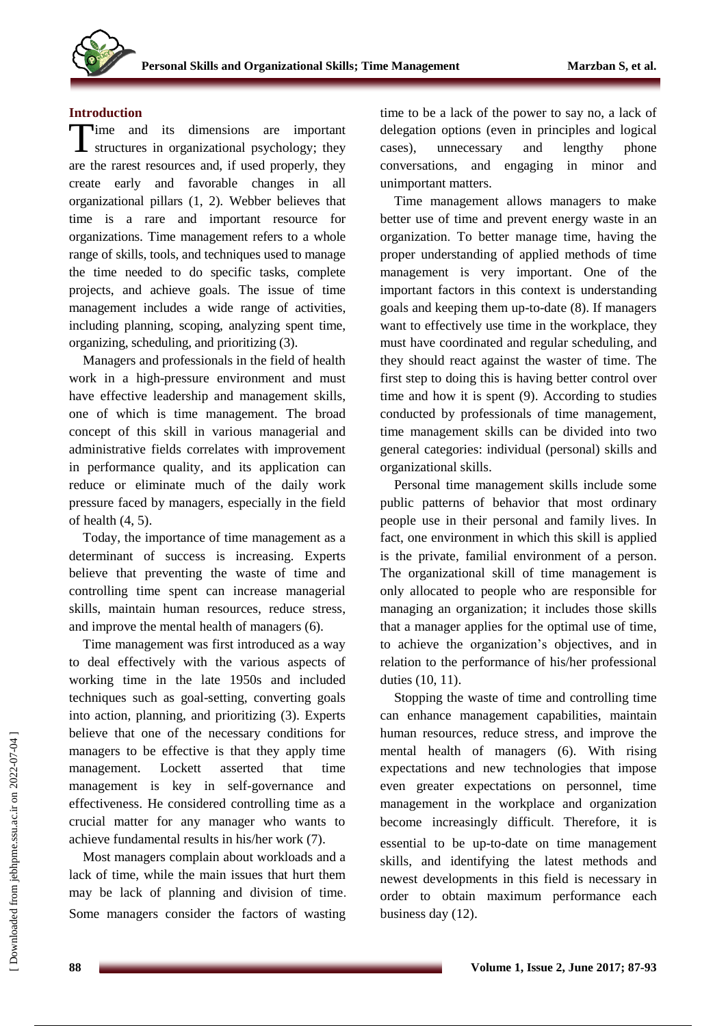## **Introduction**

Time and its dimensions are important<br>structures in organizational psychology; they structures in organizational psychology; they are the rarest resources and, if used properly, they create early and favorable changes in all organizational pillars (1, 2). Webber believes that time is a rare and important resource for organizations. Time management refers to a whole range of skills, tools, and techniques used to manage the time needed to do specific tasks, complete projects, and achieve goals. The issue of time management includes a wide range of activities, including planning, scoping, analyzing spent time, organizing, scheduling, and prioritizing (3).

Managers and professionals in the field of health work in a high-pressure environment and must have effective leadership and management skills, one of which is time management. The broad concept of this skill in various managerial and administrative fields correlates with improvement in performance quality, and its application can reduce or eliminate much of the daily work pressure faced by managers, especially in the field of health (4, 5).

Today, the importance of time management as a determinant of success is increasing. Experts believe that preventing the waste of time and controlling time spent can increase managerial skills, maintain human resources, reduce stress, and improve the mental health of managers (6).

Time management was first introduced as a way to deal effectively with the various aspects of working time in the late 1950s and included techniques such as goal-setting, converting goals into action, planning, and prioritizing (3). Experts believe that one of the necessary conditions for managers to be effective is that they apply time management. Lockett asserted that time management is key in self-governance and effectiveness. He considered controlling time as a crucial matter for any manager who wants to achieve fundamental results in his/her work (7).

Most managers complain about workloads and a lack of time, while the main issues that hurt them may be lack of planning and division of time. Some managers consider the factors of wasting

time to be a lack of the power to say no, a lack of delegation options (even in principles and logical cases), unnecessary and lengthy phone conversations, and engaging in minor and unimportant matters.

Time management allows managers to make better use of time and prevent energy waste in an organization. To better manage time, having the proper understanding of applied methods of time management is very important. One of the important factors in this context is understanding goals and keeping them up-to-date (8). If managers want to effectively use time in the workplace, they must have coordinated and regular scheduling, and they should react against the waster of time. The first step to doing this is having better control over time and how it is spent (9). According to studies conducted by professionals of time management, time management skills can be divided into two general categories: individual (personal) skills and organizational skills.

Personal time management skills include some public patterns of behavior that most ordinary people use in their personal and family lives. In fact, one environment in which this skill is applied is the private, familial environment of a person. The organizational skill of time management is only allocated to people who are responsible for managing an organization; it includes those skills that a manager applies for the optimal use of time, to achieve the organization's objectives, and in relation to the performance of his/her professional duties (10, 11).

Stopping the waste of time and controlling time can enhance management capabilities, maintain human resources, reduce stress, and improve the mental health of managers (6). With rising expectations and new technologies that impose even greater expectations on personnel, time management in the workplace and organization become increasingly difficult. Therefore, it is essential to be up-to-date on time management skills, and identifying the latest methods and newest developments in this field is necessary in order to obtain maximum performance each business day (12).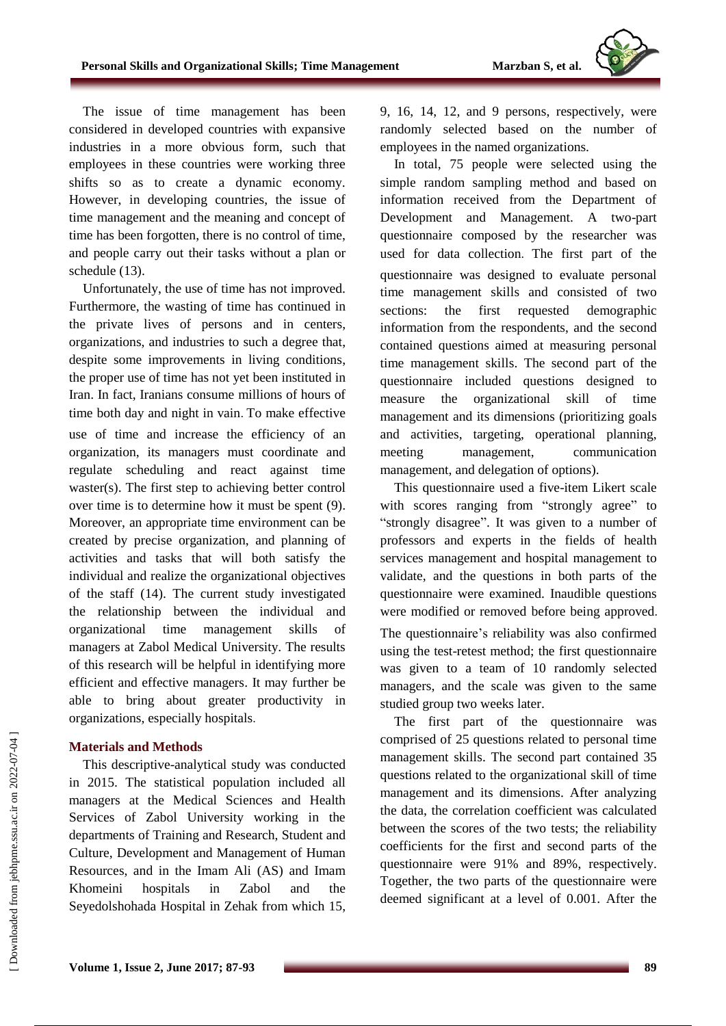

The issue of time management has been considered in developed countries with expansive industries in a more obvious form, such that employees in these countries were working three shifts so as to create a dynamic economy. However, in developing countries, the issue of time management and the meaning and concept of time has been forgotten, there is no control of time, and people carry out their tasks without a plan or schedule (13).

Unfortunately, the use of time has not improved. Furthermore, the wasting of time has continued in the private lives of persons and in centers, organizations, and industries to such a degree that, despite some improvements in living conditions, the proper use of time has not yet been instituted in Iran. In fact, Iranians consume millions of hours of time both day and night in vain. To make effective use of time and increase the efficiency of an organization, its managers must coordinate and regulate scheduling and react against time waster(s). The first step to achieving better control over time is to determine how it must be spent (9). Moreover, an appropriate time environment can be created by precise organization, and planning of activities and tasks that will both satisfy the individual and realize the organizational objectives of the staff (14). The current study investigated the relationship between the individual and organizational time management skills of managers at Zabol Medical University. The results of this research will be helpful in identifying more efficient and effective managers. It may further be able to bring about greater productivity in organizations, especially hospitals.

## **Materials and Methods**

This descriptive-analytical study was conducted in 2015. The statistical population included all managers at the Medical Sciences and Health Services of Zabol University working in the departments of Training and Research, Student and Culture, Development and Management of Human Resources, and in the Imam Ali (AS) and Imam Khomeini hospitals in Zabol and the Seyedolshohada Hospital in Zehak from which 15, 9, 16, 14, 12, and 9 persons, respectively, were randomly selected based on the number of employees in the named organizations.

In total, 75 people were selected using the simple random sampling method and based on information received from the Department of Development and Management. A two-part questionnaire composed by the researcher was used for data collection. The first part of the questionnaire was designed to evaluate personal time management skills and consisted of two sections: the first requested demographic information from the respondents, and the second contained questions aimed at measuring personal time management skills. The second part of the questionnaire included questions designed to measure the organizational skill of time management and its dimensions (prioritizing goals and activities, targeting, operational planning, meeting management, communication management, and delegation of options).

This questionnaire used a five-item Likert scale with scores ranging from "strongly agree" to "strongly disagree". It was given to a number of professors and experts in the fields of health services management and hospital management to validate, and the questions in both parts of the questionnaire were examined. Inaudible questions were modified or removed before being approved. The questionnaire's reliability was also confirmed using the test-retest method; the first questionnaire was given to a team of 10 randomly selected managers, and the scale was given to the same studied group two weeks later.

The first part of the questionnaire was comprised of 25 questions related to personal time management skills. The second part contained 35 questions related to the organizational skill of time management and its dimensions. After analyzing the data, the correlation coefficient was calculated between the scores of the two tests; the reliability coefficients for the first and second parts of the questionnaire were 91% and 89%, respectively. Together, the two parts of the questionnaire were deemed significant at a level of 0.001. After the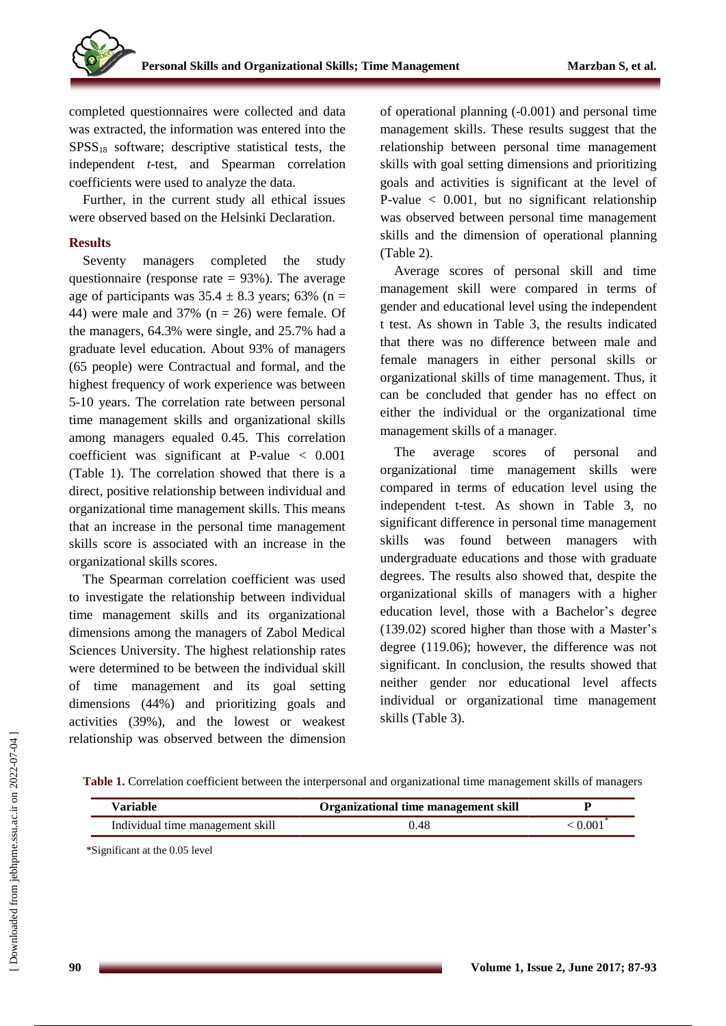completed questionnaires were collected and data was extracted, the information was entered into the  $SPSS<sub>18</sub>$  software; descriptive statistical tests, the independent *t*-test, and Spearman correlation coefficients were used to analyze the data.

Further, in the current study all ethical issues were observed based on the Helsinki Declaration.

## **Results**

Seventy managers completed the study questionnaire (response rate  $= 93\%$ ). The average age of participants was  $35.4 \pm 8.3$  years; 63% (n = 44) were male and 37% ( $n = 26$ ) were female. Of the managers, 64.3% were single, and 25.7% had a graduate level education. About 93% of managers (65 people) were Contractual and formal, and the highest frequency of work experience was between 5-10 years. The correlation rate between personal time management skills and organizational skills among managers equaled 0.45. This correlation coefficient was significant at P-value < 0.001 (Table 1). The correlation showed that there is a direct, positive relationship between individual and organizational time management skills. This means that an increase in the personal time management skills score is associated with an increase in the organizational skills scores.

The Spearman correlation coefficient was used to investigate the relationship between individual time management skills and its organizational dimensions among the managers of Zabol Medical Sciences University. The highest relationship rates were determined to be between the individual skill of time management and its goal setting dimensions (44%) and prioritizing goals and activities (39%), and the lowest or weakest relationship was observed between the dimension of operational planning (-0.001) and personal time management skills. These results suggest that the relationship between personal time management skills with goal setting dimensions and prioritizing goals and activities is significant at the level of P-value  $\lt$  0.001, but no significant relationship was observed between personal time management skills and the dimension of operational planning (Table 2).

Average scores of personal skill and time management skill were compared in terms of gender and educational level using the independent t test. As shown in Table 3, the results indicated that there was no difference between male and female managers in either personal skills or organizational skills of time management. Thus, it can be concluded that gender has no effect on either the individual or the organizational time management skills of a manager.

The average scores of personal and organizational time management skills were compared in terms of education level using the independent t-test. As shown in Table 3, no significant difference in personal time management skills was found between managers with undergraduate educations and those with graduate degrees. The results also showed that, despite the organizational skills of managers with a higher education level, those with a Bachelor's degree (139.02) scored higher than those with a Master's degree (119.06); however, the difference was not significant. In conclusion, the results showed that neither gender nor educational level affects individual or organizational time management skills (Table 3).

**Table 1.** Correlation coefficient between the interpersonal and organizational time management skills of managers

| Variable                         | Organizational time management skill |       |
|----------------------------------|--------------------------------------|-------|
| Individual time management skill | 0.48                                 | 0.001 |

\*Significant at the 0.05 level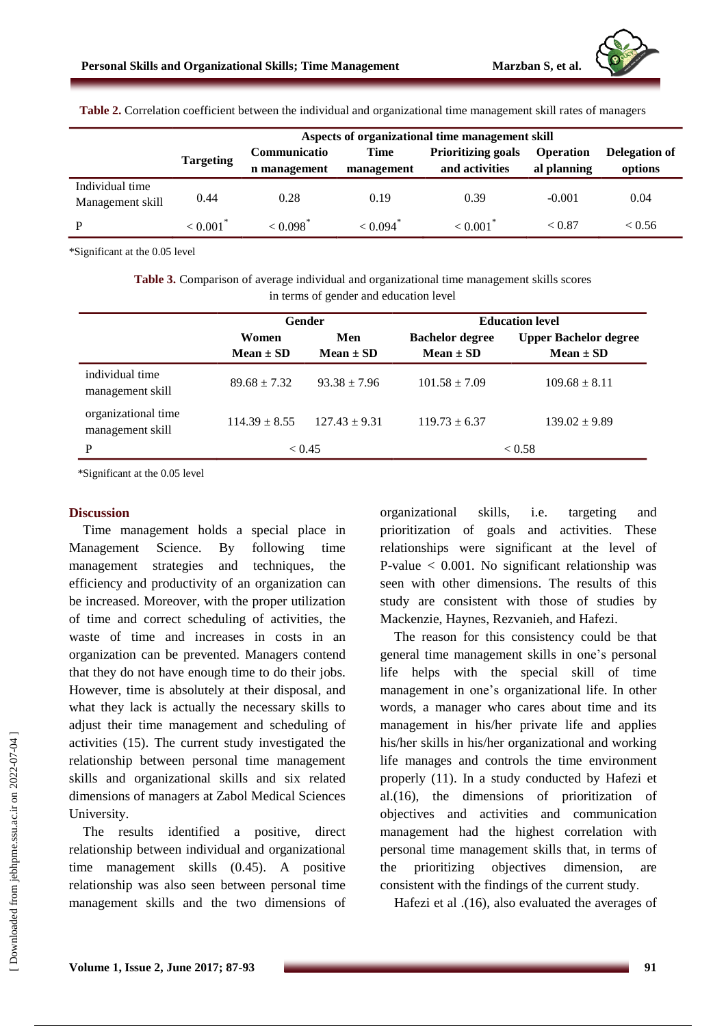| Table 2. Correlation coefficient between the individual and organizational time management skill rates of managers |                                                 |                           |                        |                           |                  |               |  |  |  |
|--------------------------------------------------------------------------------------------------------------------|-------------------------------------------------|---------------------------|------------------------|---------------------------|------------------|---------------|--|--|--|
|                                                                                                                    | Aspects of organizational time management skill |                           |                        |                           |                  |               |  |  |  |
|                                                                                                                    | <b>Targeting</b>                                | Communicatio              | Time                   | <b>Prioritizing goals</b> | <b>Operation</b> | Delegation of |  |  |  |
|                                                                                                                    |                                                 | n management              | management             | and activities            | al planning      | options       |  |  |  |
| Individual time<br>Management skill                                                                                | 0.44                                            | 0.28                      | 0.19                   | 0.39                      | $-0.001$         | 0.04          |  |  |  |
| P                                                                                                                  | $< 0.001$ <sup>*</sup>                          | $\leq 0.098$ <sup>*</sup> | $< 0.094$ <sup>*</sup> | < 0.001                   | ${}_{<}0.87$     | < 0.56        |  |  |  |

\*Significant at the 0.05 level

**Table 3.** Comparison of average individual and organizational time management skills scores in terms of gender and education level

|                                         | <b>Gender</b>          |                      | <b>Education level</b>                  |                                               |  |
|-----------------------------------------|------------------------|----------------------|-----------------------------------------|-----------------------------------------------|--|
|                                         | Women<br>$Mean \pm SD$ | Men<br>$Mean \pm SD$ | <b>Bachelor degree</b><br>$Mean \pm SD$ | <b>Upper Bachelor degree</b><br>$Mean \pm SD$ |  |
| individual time<br>management skill     | $89.68 \pm 7.32$       | $93.38 \pm 7.96$     | $101.58 \pm 7.09$                       | $109.68 \pm 8.11$                             |  |
| organizational time<br>management skill | $114.39 \pm 8.55$      | $127.43 \pm 9.31$    | $119.73 \pm 6.37$                       | $139.02 \pm 9.89$                             |  |
| P                                       | ${}_{\leq 0.45}$       |                      | < 0.58                                  |                                               |  |

\*Significant at the 0.05 level

#### **Discussion**

Time management holds a special place in Management Science. By following time management strategies and techniques, the efficiency and productivity of an organization can be increased. Moreover, with the proper utilization of time and correct scheduling of activities, the waste of time and increases in costs in an organization can be prevented. Managers contend that they do not have enough time to do their jobs. However, time is absolutely at their disposal, and what they lack is actually the necessary skills to adjust their time management and scheduling of activities (15). The current study investigated the relationship between personal time management skills and organizational skills and six related dimensions of managers at Zabol Medical Sciences University.

The results identified a positive, direct relationship between individual and organizational time management skills (0.45). A positive relationship was also seen between personal time management skills and the two dimensions of organizational skills, i.e. targeting and prioritization of goals and activities. These relationships were significant at the level of P-value < 0.001. No significant relationship was seen with other dimensions. The results of this study are consistent with those of studies by Mackenzie, Haynes, Rezvanieh, and Hafezi.

The reason for this consistency could be that general time management skills in one's personal life helps with the special skill of time management in one's organizational life. In other words, a manager who cares about time and its management in his/her private life and applies his/her skills in his/her organizational and working life manages and controls the time environment properly (11). In a study conducted by Hafezi et al.(16), the dimensions of prioritization of objectives and activities and communication management had the highest correlation with personal time management skills that, in terms of the prioritizing objectives dimension, are consistent with the findings of the current study.

Hafezi et al .(16), also evaluated the averages of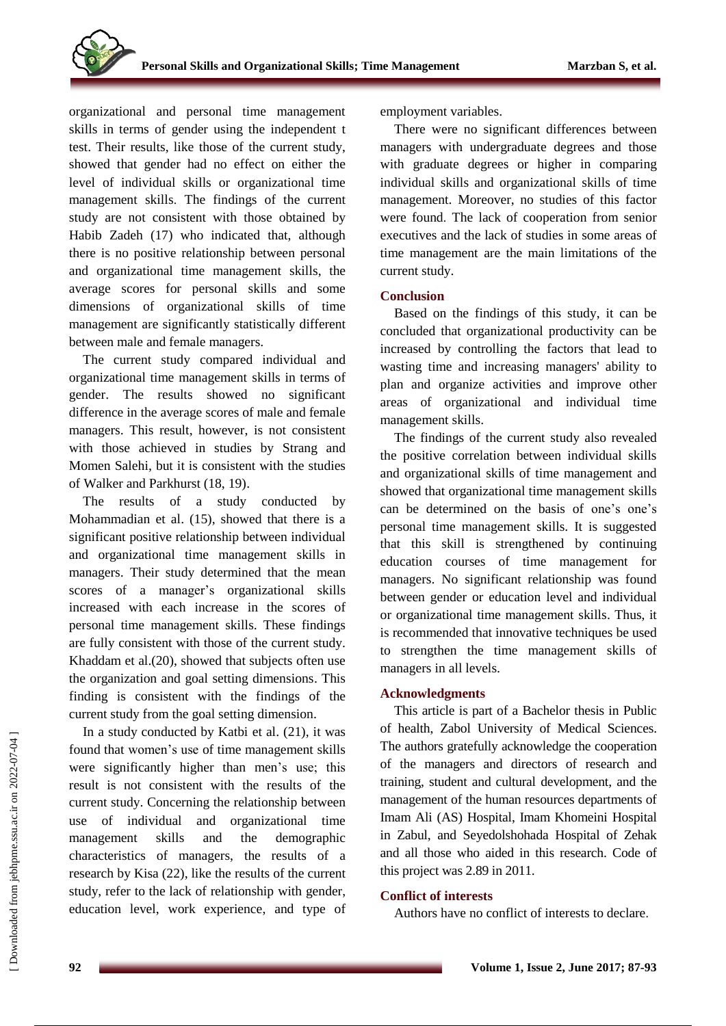organizational and personal time management skills in terms of gender using the independent t test. Their results, like those of the current study, showed that gender had no effect on either the level of individual skills or organizational time management skills. The findings of the current study are not consistent with those obtained by Habib Zadeh (17) who indicated that, although there is no positive relationship between personal and organizational time management skills, the average scores for personal skills and some dimensions of organizational skills of time management are significantly statistically different between male and female managers.

The current study compared individual and organizational time management skills in terms of gender. The results showed no significant difference in the average scores of male and female managers. This result, however, is not consistent with those achieved in studies by Strang and Momen Salehi, but it is consistent with the studies of Walker and Parkhurst (18, 19).

The results of a study conducted by Mohammadian et al. (15), showed that there is a significant positive relationship between individual and organizational time management skills in managers. Their study determined that the mean scores of a manager's organizational skills increased with each increase in the scores of personal time management skills. These findings are fully consistent with those of the current study. Khaddam et al.(20), showed that subjects often use the organization and goal setting dimensions. This finding is consistent with the findings of the current study from the goal setting dimension.

In a study conducted by Katbi et al. (21), it was found that women's use of time management skills were significantly higher than men's use; this result is not consistent with the results of the current study. Concerning the relationship between use of individual and organizational time management skills and the demographic characteristics of managers, the results of a research by Kisa (22), like the results of the current study, refer to the lack of relationship with gender, education level, work experience, and type of

employment variables.

There were no significant differences between managers with undergraduate degrees and those with graduate degrees or higher in comparing individual skills and organizational skills of time management. Moreover, no studies of this factor were found. The lack of cooperation from senior executives and the lack of studies in some areas of time management are the main limitations of the current study.

# **Conclusion**

Based on the findings of this study, it can be concluded that organizational productivity can be increased by controlling the factors that lead to wasting time and increasing managers' ability to plan and organize activities and improve other areas of organizational and individual time management skills.

The findings of the current study also revealed the positive correlation between individual skills and organizational skills of time management and showed that organizational time management skills can be determined on the basis of one's one's personal time management skills. It is suggested that this skill is strengthened by continuing education courses of time management for managers. No significant relationship was found between gender or education level and individual or organizational time management skills. Thus, it is recommended that innovative techniques be used to strengthen the time management skills of managers in all levels.

# **Acknowledgments**

This article is part of a Bachelor thesis in Public of health, Zabol University of Medical Sciences. The authors gratefully acknowledge the cooperation of the managers and directors of research and training, student and cultural development, and the management of the human resources departments of Imam Ali (AS) Hospital, Imam Khomeini Hospital in Zabul, and Seyedolshohada Hospital of Zehak and all those who aided in this research. Code of this project was 2.89 in 2011.

# **Conflict of interests**

Authors have no conflict of interests to declare.